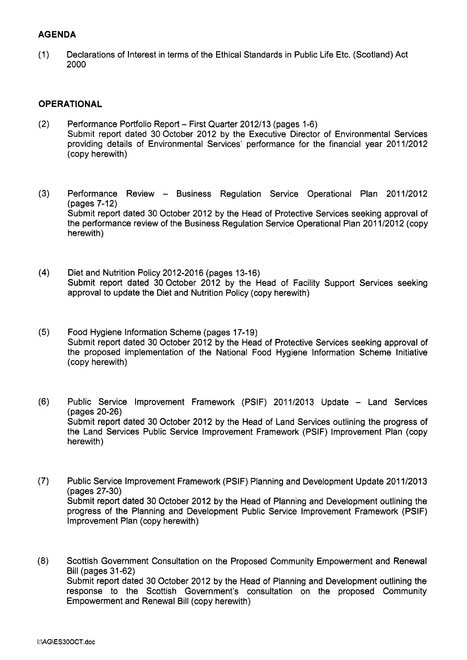#### **AGENDA**

(1) Declarations of Interest in terms of the Ethical Standards in Public Life Etc. (Scotland) Act 2000

#### **OPERATIONAL**

- (2) [Performance Portfolio Report First Quarter 2012113 \(pages 1-6\)](http://mars.northlan.gov.uk/xpedio/groups/public/documents/report/076999.pdf)  Submit report dated 30 October 2012 by the Executive Director of Environmental Services providing details of Environmental Services' performance for the financial year 2011/2012 (copy herewith)
- (3) Performance Review Business Regulation Service Operational Plan 2011/2012 (pages 7-12) Submit report dated 30 October 2012 by the Head of Protective Services seeking approval of the performance review of the Business Regulation Service Operational Plan 2011/2012 (copy herewith)
- **(4)** Diet and Nutrition Policy 2012-2016 (pages 13-16) [Submit report dated 30 October 2012 by the Head of Facility Support Services seeking](http://mars.northlan.gov.uk/xpedio/groups/public/documents/report/077001.pdf)  approval to update the Diet and Nutrition Policy (copy herewith)
- **(5)** Food Hygiene Information Scheme (pages 17-19) Submit report dated 30 October 2012 by the Head of Protective Services seeking approval of [the proposed implementation of the National Food Hygiene Information Scheme Initiative](http://mars.northlan.gov.uk/xpedio/groups/public/documents/report/077002.pdf)  (copy herewith)
- (6) Public Service Improvement Framework (PSIF) 2011/2013 Update Land Services (pages 20-26) Submit report dated 30 October 2012 by the Head of Land Services outlining the progress of the Land Services Public Service Improvement Framework (PSIF) Improvement Plan (copy herewith)
- (7) [Public Service Improvement Framework \(PSIF\) Planning and Development Update 201 112013](http://mars.northlan.gov.uk/xpedio/groups/public/documents/report/077004.pdf)  (pages 27-30) Submit report dated 30 October 2012 by the Head of Planning and Development outlining the progress of the Planning and Development Public Service Improvement Framework (PSIF) Improvement Plan (copy herewith)
- **(8)** [Scottish Government Consultation on the Proposed Community Empowerment and Renewal](http://mars.northlan.gov.uk/xpedio/groups/public/documents/report/077005.pdf)  Bill (pages 31-62) Submit report dated 30 October 2012 by the Head of Planning and Development outlining the response to the Scottish Government's consultation on the proposed Community Empowerment and Renewal Bill (copy herewith)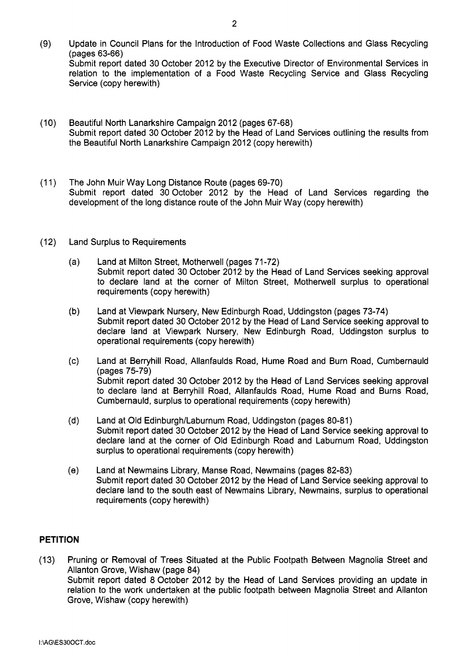- Update in Council Plans for the Introduction of Food Waste Collections and Glass Recycling  $(9)$ (pages 63-66) [Submit report dated 30 October 2012 by the Executive Director of Environmental Services in](http://mars.northlan.gov.uk/xpedio/groups/public/documents/report/077006.pdf)  relation to the implementation of a Food Waste Recycling Service and Glass Recycling Service (copy herewith)
- $(10)$ Beautiful North Lanarkshire Campaign 2012 (pages 67-68) [Submit report dated 30 October 2012 by the Head of Land Services outlining the results from](http://mars.northlan.gov.uk/xpedio/groups/public/documents/report/077007.pdf)  the Beautiful North Lanarkshire Campaign 2012 (copy herewith)
- $(11)$ The John Muir Way Long Distance Route (pages 69-70) Submit report dated 30 October 2012 by the Head of Land Services regarding the development of the long distance route of the John Muir Way (copy herewith)
- $(12)$ Land Surplus to Requirements
	- Land at Milton Street, Motherwell (pages 71-72)  $(a)$ Submit report dated 30 October 2012 by the Head of Land Services seeking approval [to declare land at the corner of Milton Street, Motherwell surplus to operational](http://mars.northlan.gov.uk/xpedio/groups/public/documents/report/077009.pdf)  requirements (copy herewith)
	- $(b)$ Land at Viewpark Nursery, New Edinburgh Road, Uddingston (pages 73-74) Submit report dated 30 October 2012 by the Head of Land Service seeking approval to declare land at Viewpark Nursery, New Edinburgh Road, Uddingston surplus to operational requirements (copy herewith)
	- $(c)$ Land at Berryhill Road, Allanfaulds Road, Hume Road and Burn Road, Cumbernauld (pages 75-79) [Submit report dated 30 October 2012 by the Head of Land Services seeking approval](http://mars.northlan.gov.uk/xpedio/groups/public/documents/report/077011.pdf)  to declare land at Berryhill Road, Allanfaulds Road, Hume Road and Burns Road, Cumbernauld, surplus to operational requirements (copy herewith)
	- $(d)$ Land at Old Edinburgh/Laburnum Road, Uddingston (pages 80-81) Submit report dated 30 October 2012 by the Head of Land Service seeking approval to [declare land at the corner of Old Edinburgh Road and Laburnum Road, Uddingston](http://mars.northlan.gov.uk/xpedio/groups/public/documents/report/077012.pdf)  surplus to operational requirements (copy herewith)
	- $(e)$ Land at Newmains Library, Manse Road, Newmains (pages 82-83) [Submit report dated 30 October 2012 by the Head of Land Service seeking approval to](http://mars.northlan.gov.uk/xpedio/groups/public/documents/report/077013.pdf)  declare land to the south east of Newmains Library, Newmains, surplus to operational requirements (copy herewith)

# **PETITION**

(13) [Pruning or Removal of Trees Situated at the Public Footpath Between Magnolia Street and](http://mars.northlan.gov.uk/xpedio/groups/public/documents/report/077014.pdf)  Allanton Grove, Wishaw (page 84) Submit report dated 8 October 2012 by the Head of Land Services providing an update in relation to the work undertaken at the public footpath between Magnolia Street and Allanton Grove, Wishaw (copy herewith)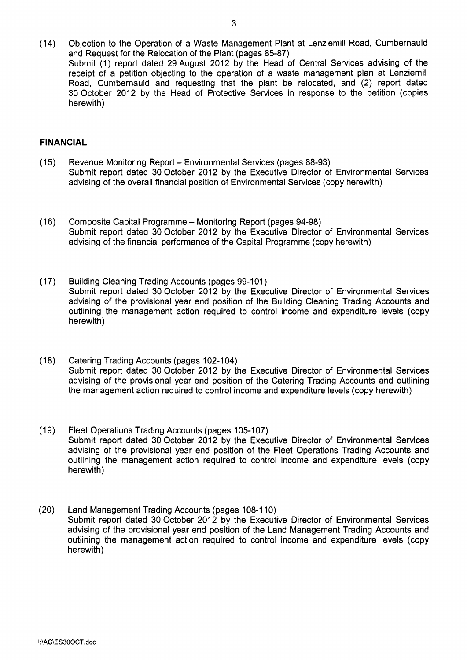(14) [Objection to the Operation of a Waste Management Plant at Lenziemill Road, Cumbernauld](http://mars.northlan.gov.uk/xpedio/groups/public/documents/report/077015.pdf)  and Request for the Relocation of the Plant (pages 85-87) Submit (1) report dated 29 August 2012 by the Head of Central Services advising of the receipt of a petition objecting to the operation of a waste management plan at Lenziemill Road, Cumbernauld and requesting that the plant be relocated, and (2) report dated 30 October 2012 by the Head of Protective Services in response to the petition (copies herewith)

## **FINANCIAL**

- (1 5) [Revenue Monitoring Report Environmental Services \(pages 88-93\)](http://mars.northlan.gov.uk/xpedio/groups/public/documents/report/077016.pdf)  Submit report dated 30 October 2012 by the Executive Director of Environmental Services advising of the overall financial position of Environmental Services (copy herewith)
- (16) Composite Capital Programme Monitoring Report (pages 94-98) Submit report dated 30 October 2012 by the Executive Director of Environmental Services advising of the financial performance of the Capital Programme (copy herewith)
- (1 7) Building Cleaning Trading Accounts (pages 99-101) Submit report dated 30 October 2012 by the Executive Director of Environmental Services advising of the provisional year end position of the Building Cleaning Trading Accounts and [outlining the management action required to control income and expenditure levels \(copy](http://mars.northlan.gov.uk/xpedio/groups/public/documents/report/077018.pdf)  herewith)
- (1 8) Catering Trading Accounts (pages 102-1 04) Submit report dated 30 October 2012 by the Executive Director of Environmental Services advising of the provisional year end position of the Catering Trading Accounts and outlining the management action required to control income and expenditure levels (copy herewith)
- (19) Fleet Operations Trading Accounts (pages 105-107) [Submit report dated 30 October 2012 by the Executive Director of Environmental Services](http://mars.northlan.gov.uk/xpedio/groups/public/documents/report/077020.pdf)  advising of the provisional year end position of the Fleet Operations Trading Accounts and outlining the management action required to control income and expenditure levels (copy herewith)
- (20) Land Management Trading Accounts (pages 108-1 10) Submit report dated 30 October 2012 by the Executive Director of Environmental Services advising of the provisional year end position of the Land Management Trading Accounts and [outlining the management action required to control income and expenditure levels \(copy](http://mars.northlan.gov.uk/xpedio/groups/public/documents/report/077021.pdf)  herewith)